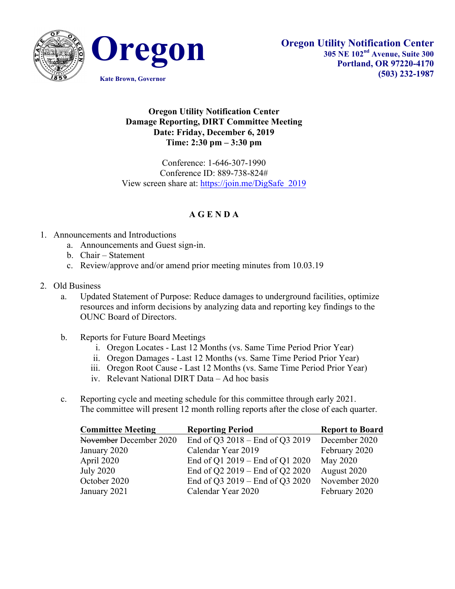



## **Oregon Utility Notification Center Damage Reporting, DIRT Committee Meeting Date: Friday, December 6, 2019 Time: 2:30 pm – 3:30 pm**

Conference: 1-646-307-1990 Conference ID: 889-738-824# View screen share at: https://join.me/DigSafe\_2019

## **A G E N D A**

- 1. Announcements and Introductions
	- a. Announcements and Guest sign-in.
	- b. Chair Statement
	- c. Review/approve and/or amend prior meeting minutes from 10.03.19
- 2. Old Business
	- a. Updated Statement of Purpose: Reduce damages to underground facilities, optimize resources and inform decisions by analyzing data and reporting key findings to the OUNC Board of Directors.
	- b. Reports for Future Board Meetings
		- i. Oregon Locates Last 12 Months (vs. Same Time Period Prior Year)
		- ii. Oregon Damages Last 12 Months (vs. Same Time Period Prior Year)
		- iii. Oregon Root Cause Last 12 Months (vs. Same Time Period Prior Year)
		- iv. Relevant National DIRT Data Ad hoc basis
	- c. Reporting cycle and meeting schedule for this committee through early 2021. The committee will present 12 month rolling reports after the close of each quarter.

| <b>Committee Meeting</b> | <b>Reporting Period</b>         | <b>Report to Board</b> |
|--------------------------|---------------------------------|------------------------|
| November December 2020   | End of Q3 2018 – End of Q3 2019 | December 2020          |
| January 2020             | Calendar Year 2019              | February 2020          |
| April 2020               | End of Q1 2019 – End of Q1 2020 | May 2020               |
| <b>July 2020</b>         | End of Q2 2019 – End of Q2 2020 | August 2020            |
| October 2020             | End of Q3 2019 – End of Q3 2020 | November 2020          |
| January 2021             | Calendar Year 2020              | February 2020          |